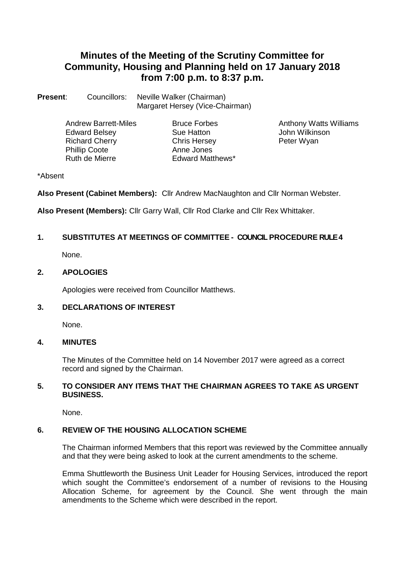# **Minutes of the Meeting of the Scrutiny Committee for Community, Housing and Planning held on 17 January 2018 from 7:00 p.m. to 8:37 p.m.**

**Present:** Councillors: Neville Walker (Chairman) Margaret Hersey (Vice-Chairman)

> Edward Belsey **Sue Hatton** Sue Hatton John Wilkins<br>
> Richard Cherry **Sue Hatton** Chris Hersey **Super State Cherry** Richard Cherry Phillip Coote<br>
> Ruth de Mierre<br>
> Ruth de Mierre<br>
> Anne Jones Laward Matt

**Edward Matthews\*** 

Andrew Barrett-Miles Bruce Forbes<br>
Edward Belsev<br>
Bue Hatton<br>
Bue Hatton<br>
Barrett Dohn Wilkinson

## \*Absent

**Also Present (Cabinet Members):** Cllr Andrew MacNaughton and Cllr Norman Webster.

**Also Present (Members):** Cllr Garry Wall, Cllr Rod Clarke and Cllr Rex Whittaker.

## **1. SUBSTITUTES AT MEETINGS OF COMMITTEE - COUNCIL PROCEDURE RULE 4**

None.

## **2. APOLOGIES**

Apologies were received from Councillor Matthews.

## **3. DECLARATIONS OF INTEREST**

None.

## **4. MINUTES**

The Minutes of the Committee held on 14 November 2017 were agreed as a correct record and signed by the Chairman.

## **5. TO CONSIDER ANY ITEMS THAT THE CHAIRMAN AGREES TO TAKE AS URGENT BUSINESS.**

None.

## **6. REVIEW OF THE HOUSING ALLOCATION SCHEME**

The Chairman informed Members that this report was reviewed by the Committee annually and that they were being asked to look at the current amendments to the scheme.

Emma Shuttleworth the Business Unit Leader for Housing Services, introduced the report which sought the Committee's endorsement of a number of revisions to the Housing Allocation Scheme, for agreement by the Council. She went through the main amendments to the Scheme which were described in the report.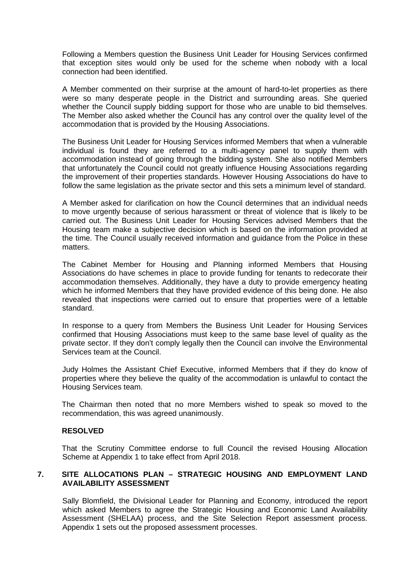Following a Members question the Business Unit Leader for Housing Services confirmed that exception sites would only be used for the scheme when nobody with a local connection had been identified.

A Member commented on their surprise at the amount of hard-to-let properties as there were so many desperate people in the District and surrounding areas. She queried whether the Council supply bidding support for those who are unable to bid themselves. The Member also asked whether the Council has any control over the quality level of the accommodation that is provided by the Housing Associations.

The Business Unit Leader for Housing Services informed Members that when a vulnerable individual is found they are referred to a multi-agency panel to supply them with accommodation instead of going through the bidding system. She also notified Members that unfortunately the Council could not greatly influence Housing Associations regarding the improvement of their properties standards. However Housing Associations do have to follow the same legislation as the private sector and this sets a minimum level of standard.

A Member asked for clarification on how the Council determines that an individual needs to move urgently because of serious harassment or threat of violence that is likely to be carried out. The Business Unit Leader for Housing Services advised Members that the Housing team make a subjective decision which is based on the information provided at the time. The Council usually received information and guidance from the Police in these matters.

The Cabinet Member for Housing and Planning informed Members that Housing Associations do have schemes in place to provide funding for tenants to redecorate their accommodation themselves. Additionally, they have a duty to provide emergency heating which he informed Members that they have provided evidence of this being done. He also revealed that inspections were carried out to ensure that properties were of a lettable standard.

In response to a query from Members the Business Unit Leader for Housing Services confirmed that Housing Associations must keep to the same base level of quality as the private sector. If they don't comply legally then the Council can involve the Environmental Services team at the Council.

Judy Holmes the Assistant Chief Executive, informed Members that if they do know of properties where they believe the quality of the accommodation is unlawful to contact the Housing Services team.

The Chairman then noted that no more Members wished to speak so moved to the recommendation, this was agreed unanimously.

#### **RESOLVED**

That the Scrutiny Committee endorse to full Council the revised Housing Allocation Scheme at Appendix 1 to take effect from April 2018.

## **7. SITE ALLOCATIONS PLAN – STRATEGIC HOUSING AND EMPLOYMENT LAND AVAILABILITY ASSESSMENT**

Sally Blomfield, the Divisional Leader for Planning and Economy, introduced the report which asked Members to agree the Strategic Housing and Economic Land Availability Assessment (SHELAA) process, and the Site Selection Report assessment process. Appendix 1 sets out the proposed assessment processes.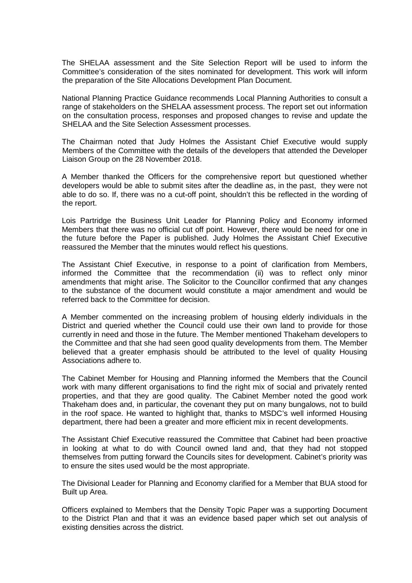The SHELAA assessment and the Site Selection Report will be used to inform the Committee's consideration of the sites nominated for development. This work will inform the preparation of the Site Allocations Development Plan Document.

National Planning Practice Guidance recommends Local Planning Authorities to consult a range of stakeholders on the SHELAA assessment process. The report set out information on the consultation process, responses and proposed changes to revise and update the SHELAA and the Site Selection Assessment processes.

The Chairman noted that Judy Holmes the Assistant Chief Executive would supply Members of the Committee with the details of the developers that attended the Developer Liaison Group on the 28 November 2018.

A Member thanked the Officers for the comprehensive report but questioned whether developers would be able to submit sites after the deadline as, in the past, they were not able to do so. If, there was no a cut-off point, shouldn't this be reflected in the wording of the report.

Lois Partridge the Business Unit Leader for Planning Policy and Economy informed Members that there was no official cut off point. However, there would be need for one in the future before the Paper is published. Judy Holmes the Assistant Chief Executive reassured the Member that the minutes would reflect his questions.

The Assistant Chief Executive, in response to a point of clarification from Members, informed the Committee that the recommendation (ii) was to reflect only minor amendments that might arise. The Solicitor to the Councillor confirmed that any changes to the substance of the document would constitute a major amendment and would be referred back to the Committee for decision.

A Member commented on the increasing problem of housing elderly individuals in the District and queried whether the Council could use their own land to provide for those currently in need and those in the future. The Member mentioned Thakeham developers to the Committee and that she had seen good quality developments from them. The Member believed that a greater emphasis should be attributed to the level of quality Housing Associations adhere to.

The Cabinet Member for Housing and Planning informed the Members that the Council work with many different organisations to find the right mix of social and privately rented properties, and that they are good quality. The Cabinet Member noted the good work Thakeham does and, in particular, the covenant they put on many bungalows, not to build in the roof space. He wanted to highlight that, thanks to MSDC's well informed Housing department, there had been a greater and more efficient mix in recent developments.

The Assistant Chief Executive reassured the Committee that Cabinet had been proactive in looking at what to do with Council owned land and, that they had not stopped themselves from putting forward the Councils sites for development. Cabinet's priority was to ensure the sites used would be the most appropriate.

The Divisional Leader for Planning and Economy clarified for a Member that BUA stood for Built up Area.

Officers explained to Members that the Density Topic Paper was a supporting Document to the District Plan and that it was an evidence based paper which set out analysis of existing densities across the district.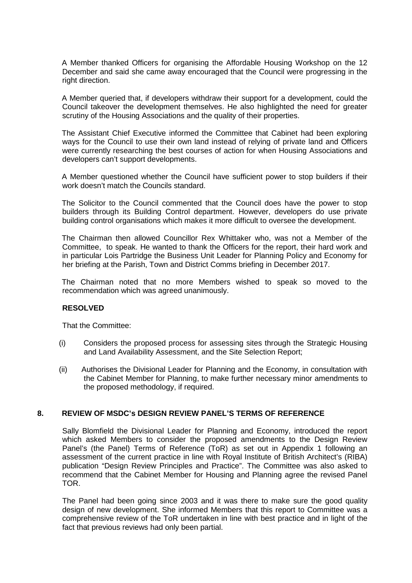A Member thanked Officers for organising the Affordable Housing Workshop on the 12 December and said she came away encouraged that the Council were progressing in the right direction.

A Member queried that, if developers withdraw their support for a development, could the Council takeover the development themselves. He also highlighted the need for greater scrutiny of the Housing Associations and the quality of their properties.

The Assistant Chief Executive informed the Committee that Cabinet had been exploring ways for the Council to use their own land instead of relying of private land and Officers were currently researching the best courses of action for when Housing Associations and developers can't support developments.

A Member questioned whether the Council have sufficient power to stop builders if their work doesn't match the Councils standard.

The Solicitor to the Council commented that the Council does have the power to stop builders through its Building Control department. However, developers do use private building control organisations which makes it more difficult to oversee the development.

The Chairman then allowed Councillor Rex Whittaker who, was not a Member of the Committee, to speak. He wanted to thank the Officers for the report, their hard work and in particular Lois Partridge the Business Unit Leader for Planning Policy and Economy for her briefing at the Parish, Town and District Comms briefing in December 2017.

The Chairman noted that no more Members wished to speak so moved to the recommendation which was agreed unanimously.

#### **RESOLVED**

That the Committee:

- (i) Considers the proposed process for assessing sites through the Strategic Housing and Land Availability Assessment, and the Site Selection Report;
- (ii) Authorises the Divisional Leader for Planning and the Economy, in consultation with the Cabinet Member for Planning, to make further necessary minor amendments to the proposed methodology, if required.

#### **8. REVIEW OF MSDC's DESIGN REVIEW PANEL'S TERMS OF REFERENCE**

Sally Blomfield the Divisional Leader for Planning and Economy, introduced the report which asked Members to consider the proposed amendments to the Design Review Panel's (the Panel) Terms of Reference (ToR) as set out in Appendix 1 following an assessment of the current practice in line with Royal Institute of British Architect's (RIBA) publication "Design Review Principles and Practice". The Committee was also asked to recommend that the Cabinet Member for Housing and Planning agree the revised Panel TOR.

The Panel had been going since 2003 and it was there to make sure the good quality design of new development. She informed Members that this report to Committee was a comprehensive review of the ToR undertaken in line with best practice and in light of the fact that previous reviews had only been partial.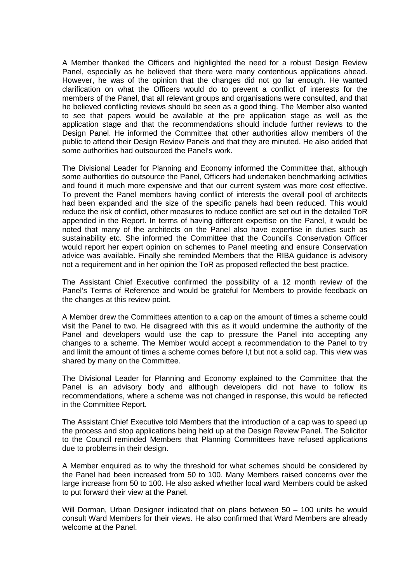A Member thanked the Officers and highlighted the need for a robust Design Review Panel, especially as he believed that there were many contentious applications ahead. However, he was of the opinion that the changes did not go far enough. He wanted clarification on what the Officers would do to prevent a conflict of interests for the members of the Panel, that all relevant groups and organisations were consulted, and that he believed conflicting reviews should be seen as a good thing. The Member also wanted to see that papers would be available at the pre application stage as well as the application stage and that the recommendations should include further reviews to the Design Panel. He informed the Committee that other authorities allow members of the public to attend their Design Review Panels and that they are minuted. He also added that some authorities had outsourced the Panel's work.

The Divisional Leader for Planning and Economy informed the Committee that, although some authorities do outsource the Panel, Officers had undertaken benchmarking activities and found it much more expensive and that our current system was more cost effective. To prevent the Panel members having conflict of interests the overall pool of architects had been expanded and the size of the specific panels had been reduced. This would reduce the risk of conflict, other measures to reduce conflict are set out in the detailed ToR appended in the Report. In terms of having different expertise on the Panel, it would be noted that many of the architects on the Panel also have expertise in duties such as sustainability etc. She informed the Committee that the Council's Conservation Officer would report her expert opinion on schemes to Panel meeting and ensure Conservation advice was available. Finally she reminded Members that the RIBA guidance is advisory not a requirement and in her opinion the ToR as proposed reflected the best practice.

The Assistant Chief Executive confirmed the possibility of a 12 month review of the Panel's Terms of Reference and would be grateful for Members to provide feedback on the changes at this review point.

A Member drew the Committees attention to a cap on the amount of times a scheme could visit the Panel to two. He disagreed with this as it would undermine the authority of the Panel and developers would use the cap to pressure the Panel into accepting any changes to a scheme. The Member would accept a recommendation to the Panel to try and limit the amount of times a scheme comes before I,t but not a solid cap. This view was shared by many on the Committee.

The Divisional Leader for Planning and Economy explained to the Committee that the Panel is an advisory body and although developers did not have to follow its recommendations, where a scheme was not changed in response, this would be reflected in the Committee Report.

The Assistant Chief Executive told Members that the introduction of a cap was to speed up the process and stop applications being held up at the Design Review Panel. The Solicitor to the Council reminded Members that Planning Committees have refused applications due to problems in their design.

A Member enquired as to why the threshold for what schemes should be considered by the Panel had been increased from 50 to 100. Many Members raised concerns over the large increase from 50 to 100. He also asked whether local ward Members could be asked to put forward their view at the Panel.

Will Dorman, Urban Designer indicated that on plans between 50 – 100 units he would consult Ward Members for their views. He also confirmed that Ward Members are already welcome at the Panel.